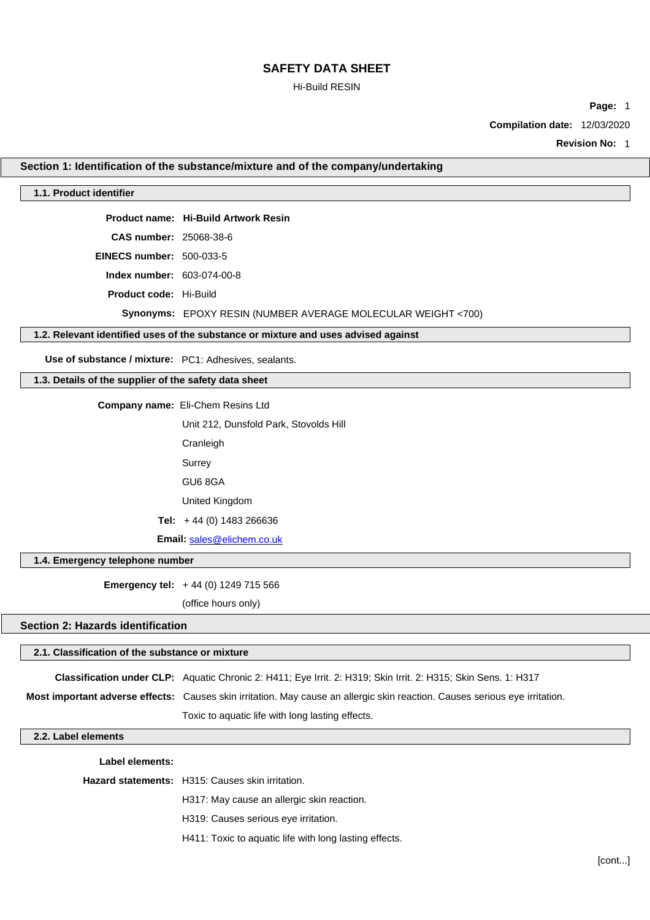### Hi-Build RESIN

**Page:** 1

**Compilation date:** 12/03/2020

**Revision No:** 1

### **Section 1: Identification of the substance/mixture and of the company/undertaking**

#### **1.1. Product identifier**

**Product name: Hi-Build Artwork Resin** 

**CAS number:** 25068-38-6

**EINECS number:** 500-033-5

**Index number:** 603-074-00-8

**Product code:** Hi-Build

**Synonyms:** EPOXY RESIN (NUMBER AVERAGE MOLECULAR WEIGHT <700)

### **1.2. Relevant identified uses of the substance or mixture and uses advised against**

**Use of substance / mixture:** PC1: Adhesives, sealants.

## **1.3. Details of the supplier of the safety data sheet**

**Company name:** Eli-Chem Resins Ltd

Unit 212, Dunsfold Park, Stovolds Hill

Cranleigh

Surrey

GU6 8GA

United Kingdom

**Tel:** + 44 (0) 1483 266636

**Email:** [sales@elichem.co.uk](mailto:sales@elichem.co.uk)

#### **1.4. Emergency telephone number**

**Emergency tel:** + 44 (0) 1249 715 566

(office hours only)

### **Section 2: Hazards identification**

#### **2.1. Classification of the substance or mixture**

**Classification under CLP:** Aquatic Chronic 2: H411; Eye Irrit. 2: H319; Skin Irrit. 2: H315; Skin Sens. 1: H317

**Most important adverse effects:** Causes skin irritation. May cause an allergic skin reaction. Causes serious eye irritation.

Toxic to aquatic life with long lasting effects.

### **2.2. Label elements**

**Label elements:**

**Hazard statements:** H315: Causes skin irritation.

H317: May cause an allergic skin reaction.

H319: Causes serious eye irritation.

H411: Toxic to aquatic life with long lasting effects.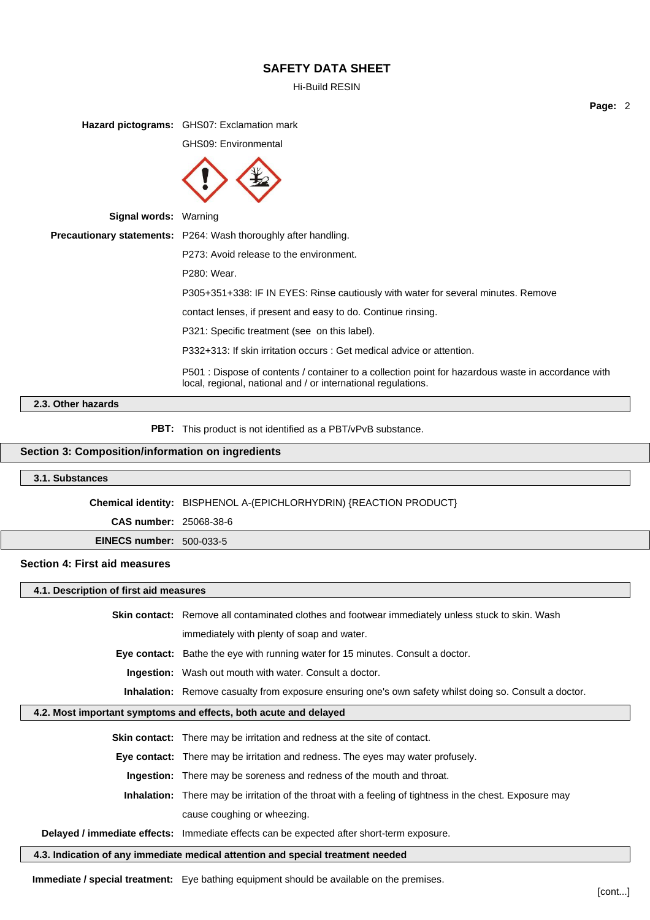Hi-Build RESIN

**Page:** 2

**Hazard pictograms:** GHS07: Exclamation mark GHS09: Environmental **Signal words:** Warning **Precautionary statements:** P264: Wash thoroughly after handling. P273: Avoid release to the environment. P280: Wear. P305+351+338: IF IN EYES: Rinse cautiously with water for several minutes. Remove contact lenses, if present and easy to do. Continue rinsing. P321: Specific treatment (see on this label). P332+313: If skin irritation occurs : Get medical advice or attention. P501 : Dispose of contents / container to a collection point for hazardous waste in accordance with local, regional, national and / or international regulations.

### **2.3. Other hazards**

**PBT:** This product is not identified as a PBT/vPvB substance.

### **Section 3: Composition/information on ingredients**

#### **3.1. Substances**

**Chemical identity:** BISPHENOL A-(EPICHLORHYDRIN) {REACTION PRODUCT}

**CAS number:** 25068-38-6

**EINECS number:** 500-033-5

#### **Section 4: First aid measures**

**4.1. Description of first aid measures**

**Skin contact:** Remove all contaminated clothes and footwear immediately unless stuck to skin. Wash

immediately with plenty of soap and water.

**Eye contact:** Bathe the eye with running water for 15 minutes. Consult a doctor.

**Ingestion:** Wash out mouth with water. Consult a doctor.

**Inhalation:** Remove casualty from exposure ensuring one's own safety whilst doing so. Consult a doctor.

### **4.2. Most important symptoms and effects, both acute and delayed**

**Skin contact:** There may be irritation and redness at the site of contact. **Eye contact:** There may be irritation and redness. The eyes may water profusely.

**Ingestion:** There may be soreness and redness of the mouth and throat.

**Inhalation:** There may be irritation of the throat with a feeling of tightness in the chest. Exposure may cause coughing or wheezing.

**Delayed / immediate effects:** Immediate effects can be expected after short-term exposure.

**4.3. Indication of any immediate medical attention and special treatment needed**

**Immediate / special treatment:** Eye bathing equipment should be available on the premises.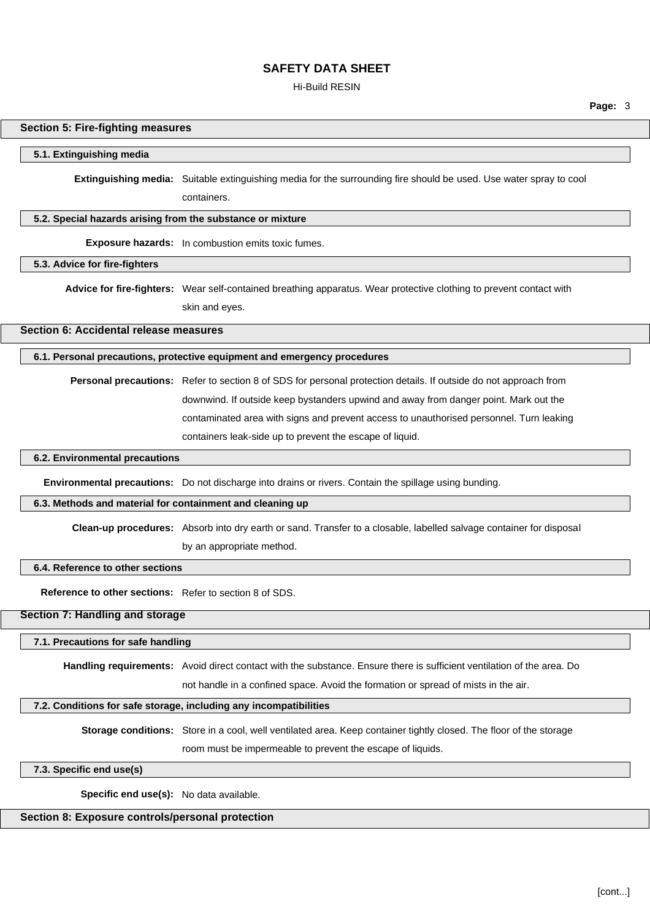Hi-Build RESIN

**Page:** 3

## **Section 5: Fire-fighting measures**

### **5.1. Extinguishing media**

**Extinguishing media:** Suitable extinguishing media for the surrounding fire should be used. Use water spray to cool containers.

#### **5.2. Special hazards arising from the substance or mixture**

**Exposure hazards:** In combustion emits toxic fumes.

### **5.3. Advice for fire-fighters**

**Advice for fire-fighters:** Wear self-contained breathing apparatus. Wear protective clothing to prevent contact with skin and eyes.

### **Section 6: Accidental release measures**

#### **6.1. Personal precautions, protective equipment and emergency procedures**

**Personal precautions:** Refer to section 8 of SDS for personal protection details. If outside do not approach from downwind. If outside keep bystanders upwind and away from danger point. Mark out the contaminated area with signs and prevent access to unauthorised personnel. Turn leaking containers leak-side up to prevent the escape of liquid.

#### **6.2. Environmental precautions**

**Environmental precautions:** Do not discharge into drains or rivers. Contain the spillage using bunding.

#### **6.3. Methods and material for containment and cleaning up**

**Clean-up procedures:** Absorb into dry earth or sand. Transfer to a closable, labelled salvage container for disposal by an appropriate method.

### **6.4. Reference to other sections**

**Reference to other sections:** Refer to section 8 of SDS.

## **Section 7: Handling and storage**

#### **7.1. Precautions for safe handling**

**Handling requirements:** Avoid direct contact with the substance. Ensure there is sufficient ventilation of the area. Do

not handle in a confined space. Avoid the formation or spread of mists in the air.

### **7.2. Conditions for safe storage, including any incompatibilities**

**Storage conditions:** Store in a cool, well ventilated area. Keep container tightly closed. The floor of the storage room must be impermeable to prevent the escape of liquids.

### **7.3. Specific end use(s)**

**Specific end use(s):** No data available.

### **Section 8: Exposure controls/personal protection**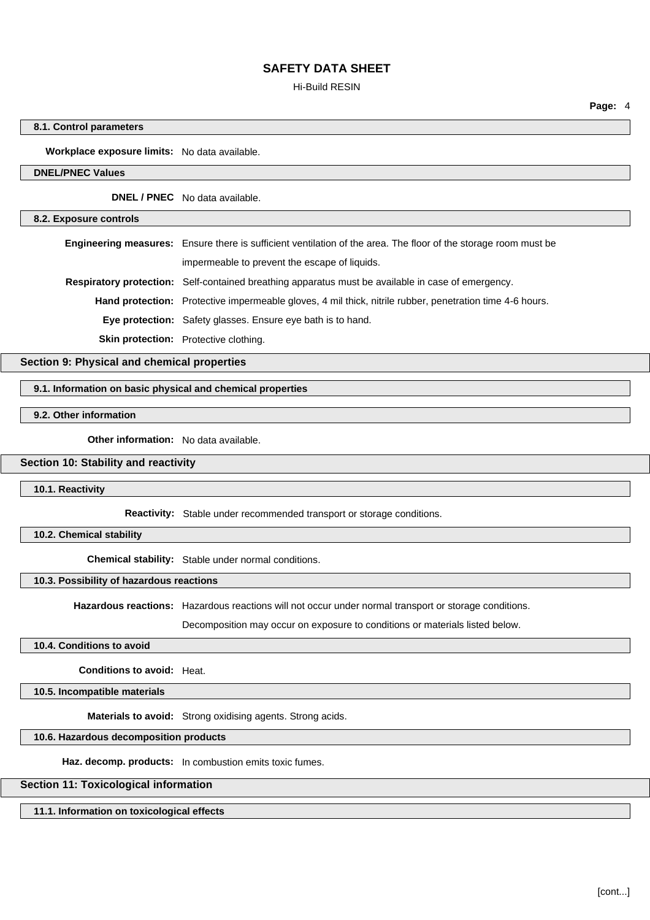#### Hi-Build RESIN

**Page:** 4

### **8.1. Control parameters**

**Workplace exposure limits:** No data available.

### **DNEL/PNEC Values**

**DNEL / PNEC** No data available.

#### **8.2. Exposure controls**

**Engineering measures:** Ensure there is sufficient ventilation of the area. The floor of the storage room must be impermeable to prevent the escape of liquids.

**Respiratory protection:** Self-contained breathing apparatus must be available in case of emergency.

**Hand protection:** Protective impermeable gloves, 4 mil thick, nitrile rubber, penetration time 4-6 hours.

**Eye protection:** Safety glasses. Ensure eye bath is to hand.

**Skin protection:** Protective clothing.

**Section 9: Physical and chemical properties**

### **9.1. Information on basic physical and chemical properties**

**9.2. Other information**

**Other information:** No data available.

### **Section 10: Stability and reactivity**

**10.1. Reactivity**

**Reactivity:** Stable under recommended transport or storage conditions.

**10.2. Chemical stability**

**Chemical stability:** Stable under normal conditions.

### **10.3. Possibility of hazardous reactions**

**Hazardous reactions:** Hazardous reactions will not occur under normal transport or storage conditions.

Decomposition may occur on exposure to conditions or materials listed below.

### **10.4. Conditions to avoid**

**Conditions to avoid:** Heat.

**10.5. Incompatible materials**

**Materials to avoid:** Strong oxidising agents. Strong acids.

### **10.6. Hazardous decomposition products**

**Haz. decomp. products:** In combustion emits toxic fumes.

### **Section 11: Toxicological information**

**11.1. Information on toxicological effects**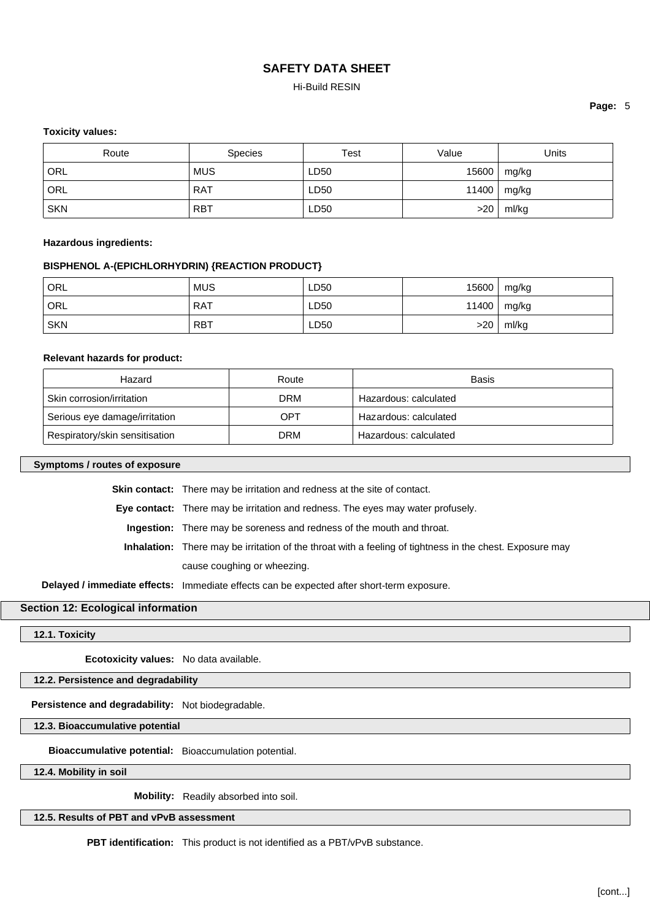### Hi-Build RESIN

### **Page:** 5

### **Toxicity values:**

| Route      | <b>Species</b> | Test | Value | Units         |
|------------|----------------|------|-------|---------------|
| ORL        | <b>MUS</b>     | LD50 | 15600 | mg/kg         |
| ORL        | <b>RAT</b>     | LD50 |       | 11400   mg/kg |
| <b>SKN</b> | <b>RBT</b>     | LD50 | >20   | ml/kg         |

#### **Hazardous ingredients:**

### **BISPHENOL A-(EPICHLORHYDRIN) {REACTION PRODUCT}**

| ' ORL            | <b>MUS</b> | LD50 | 15600 | mg/kg         |
|------------------|------------|------|-------|---------------|
| <sup>'</sup> ORL | <b>RAT</b> | LD50 |       | 11400   mg/kg |
| <b>SKN</b>       | <b>RBT</b> | LD50 | >20   | ml/kg         |

#### **Relevant hazards for product:**

| Hazard                         | Route | <b>Basis</b>          |
|--------------------------------|-------|-----------------------|
| Skin corrosion/irritation      | DRM   | Hazardous: calculated |
| Serious eye damage/irritation  | OPT   | Hazardous: calculated |
| Respiratory/skin sensitisation | DRM   | Hazardous: calculated |

### **Symptoms / routes of exposure**

**Skin contact:** There may be irritation and redness at the site of contact.

**Eye contact:** There may be irritation and redness. The eyes may water profusely.

**Ingestion:** There may be soreness and redness of the mouth and throat.

**Inhalation:** There may be irritation of the throat with a feeling of tightness in the chest. Exposure may cause coughing or wheezing.

**Delayed / immediate effects:** Immediate effects can be expected after short-term exposure.

### **Section 12: Ecological information**

**12.1. Toxicity**

**Ecotoxicity values:** No data available.

### **12.2. Persistence and degradability**

**Persistence and degradability:** Not biodegradable.

**12.3. Bioaccumulative potential**

**Bioaccumulative potential:** Bioaccumulation potential.

**12.4. Mobility in soil**

**Mobility:** Readily absorbed into soil.

**12.5. Results of PBT and vPvB assessment**

**PBT identification:** This product is not identified as a PBT/vPvB substance.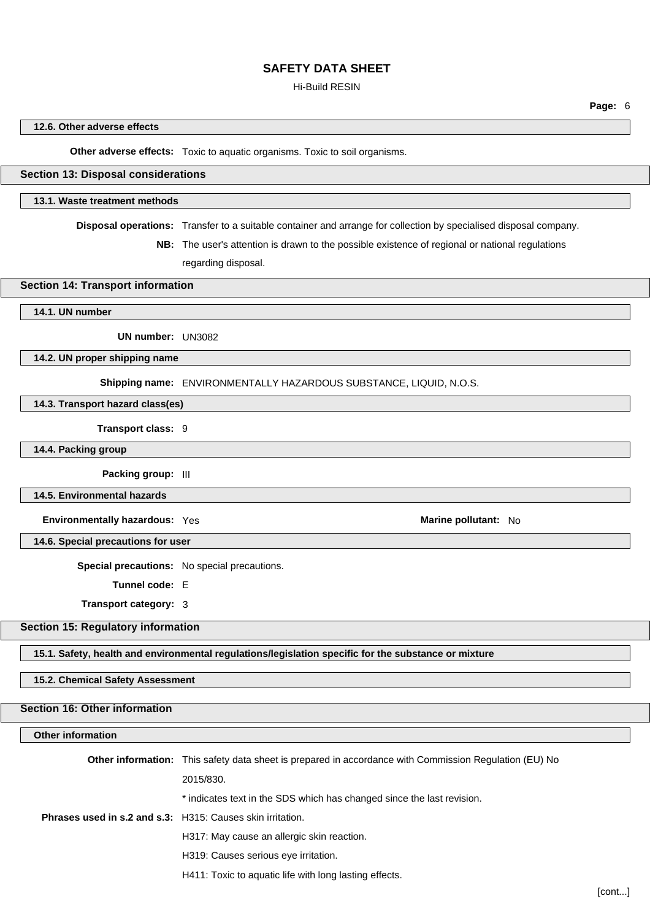#### Hi-Build RESIN

### **12.6. Other adverse effects**

**Other adverse effects:** Toxic to aquatic organisms. Toxic to soil organisms.

### **Section 13: Disposal considerations**

### **13.1. Waste treatment methods**

**Disposal operations:** Transfer to a suitable container and arrange for collection by specialised disposal company.

**NB:** The user's attention is drawn to the possible existence of regional or national regulations regarding disposal.

### **Section 14: Transport information**

#### **14.1. UN number**

**UN number:** UN3082

**14.2. UN proper shipping name**

**Shipping name:** ENVIRONMENTALLY HAZARDOUS SUBSTANCE, LIQUID, N.O.S.

## **14.3. Transport hazard class(es)**

**Transport class:** 9

**14.4. Packing group**

**Packing group:** III

**14.5. Environmental hazards**

**Environmentally hazardous:** Yes **Marine pollutant: No Marine pollutant: No** 

**14.6. Special precautions for user**

**Special precautions:** No special precautions.

**Tunnel code:** E

**Transport category:** 3

### **Section 15: Regulatory information**

**15.1. Safety, health and environmental regulations/legislation specific for the substance or mixture**

#### **15.2. Chemical Safety Assessment**

#### **Section 16: Other information**

### **Other information**

**Other information:** This safety data sheet is prepared in accordance with Commission Regulation (EU) No 2015/830. \* indicates text in the SDS which has changed since the last revision. **Phrases used in s.2 and s.3:** H315: Causes skin irritation. H317: May cause an allergic skin reaction. H319: Causes serious eye irritation. H411: Toxic to aquatic life with long lasting effects.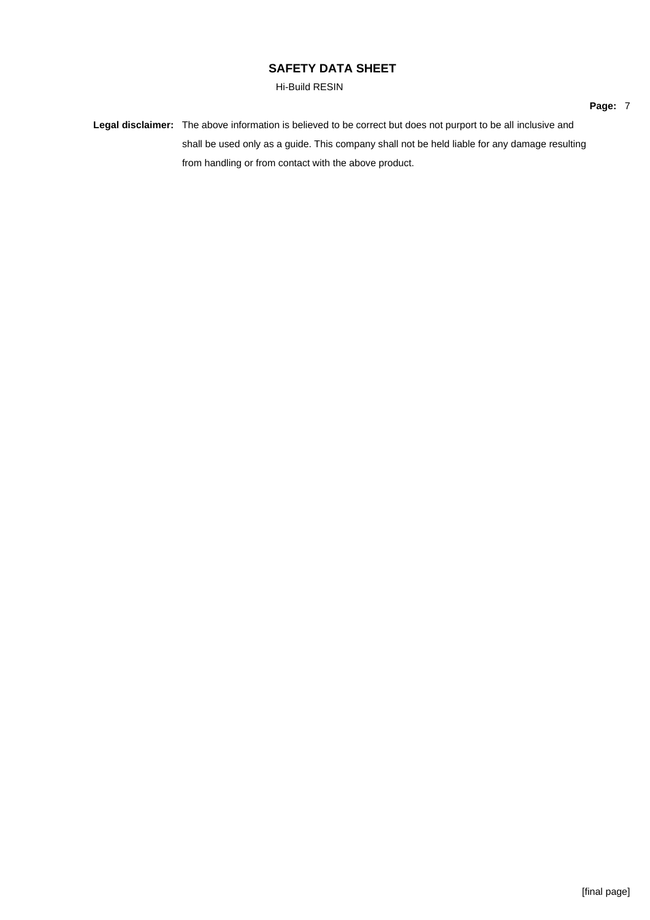Hi-Build RESIN

**Legal disclaimer:** The above information is believed to be correct but does not purport to be all inclusive and shall be used only as a guide. This company shall not be held liable for any damage resulting from handling or from contact with the above product.

**Page:** 7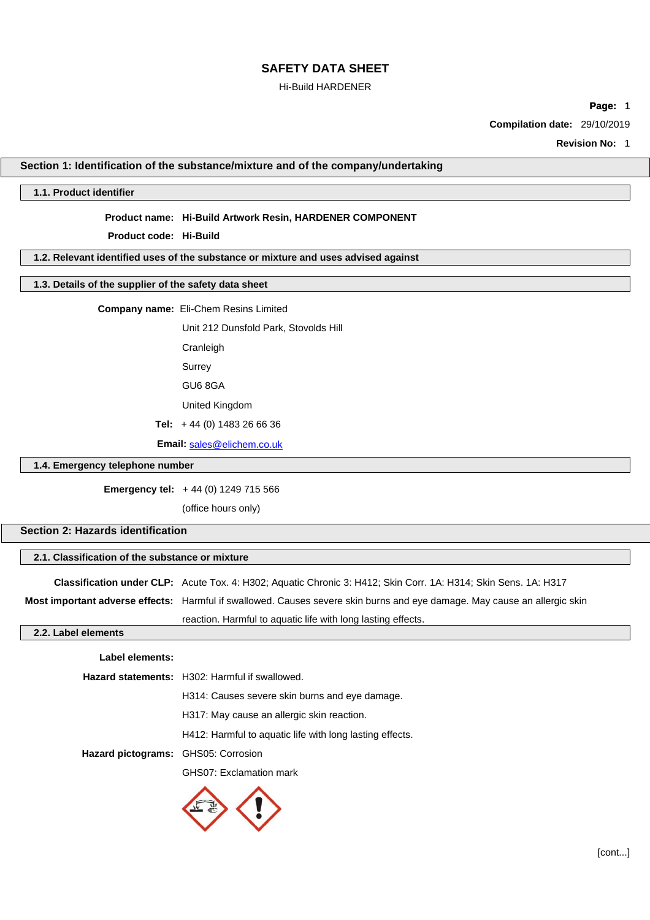### Hi-Build HARDENER

**Page:** 1

**Compilation date:** 29/10/2019

**Revision No:** 1

### **Section 1: Identification of the substance/mixture and of the company/undertaking**

### **1.1. Product identifier**

#### **Product name: Hi-Build Artwork Resin, HARDENER COMPONENT**

**Product code: Hi-Build**

### **1.2. Relevant identified uses of the substance or mixture and uses advised against**

### **1.3. Details of the supplier of the safety data sheet**

**Company name:** Eli-Chem Resins Limited

Unit 212 Dunsfold Park, Stovolds Hill

Cranleigh

Surrey

GU6 8GA

United Kingdom

**Tel:** + 44 (0) 1483 26 66 36

**Email:** [sales@elichem.co.uk](mailto:sales@elichem.co.uk)

#### **1.4. Emergency telephone number**

**Emergency tel:** + 44 (0) 1249 715 566

(office hours only)

### **Section 2: Hazards identification**

### **2.1. Classification of the substance or mixture**

**Classification under CLP:** Acute Tox. 4: H302; Aquatic Chronic 3: H412; Skin Corr. 1A: H314; Skin Sens. 1A: H317

**Most important adverse effects:** Harmful if swallowed. Causes severe skin burns and eye damage. May cause an allergic skin

reaction. Harmful to aquatic life with long lasting effects.

### **2.2. Label elements**

## **Label elements: Hazard statements:** H302: Harmful if swallowed.

H314: Causes severe skin burns and eye damage. H317: May cause an allergic skin reaction. H412: Harmful to aquatic life with long lasting effects. **Hazard pictograms:** GHS05: Corrosion GHS07: Exclamation mark

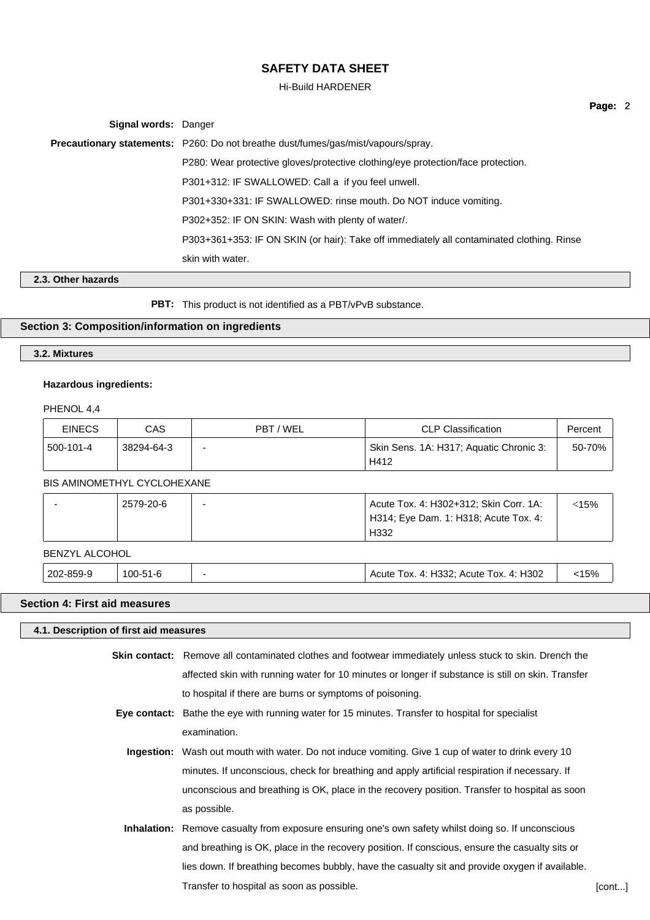#### Hi-Build HARDENER

| Signal words: Danger |                                                                                           |
|----------------------|-------------------------------------------------------------------------------------------|
|                      | <b>Precautionary statements:</b> P260: Do not breathe dust/fumes/gas/mist/vapours/spray.  |
|                      | P280: Wear protective gloves/protective clothing/eye protection/face protection.          |
|                      | P301+312: IF SWALLOWED: Call a if you feel unwell.                                        |
|                      | P301+330+331: IF SWALLOWED: rinse mouth. Do NOT induce vomiting.                          |
|                      | P302+352: IF ON SKIN: Wash with plenty of water.                                          |
|                      | P303+361+353: IF ON SKIN (or hair): Take off immediately all contaminated clothing. Rinse |
|                      | skin with water.                                                                          |

### **2.3. Other hazards**

**PBT:** This product is not identified as a PBT/vPvB substance.

### **Section 3: Composition/information on ingredients**

### **3.2. Mixtures**

#### **Hazardous ingredients:**

PHENOL 4,4

| <b>EINECS</b> | CAS        | PBT / WEL                | <b>CLP Classification</b>                       | Percent |
|---------------|------------|--------------------------|-------------------------------------------------|---------|
| 500-101-4     | 38294-64-3 | $\overline{\phantom{0}}$ | Skin Sens. 1A: H317; Aquatic Chronic 3:<br>H412 | 50-70%  |

### BIS AMINOMETHYL CYCLOHEXANE

| 2579-20-6 | Acute Tox. 4: H302+312; Skin Corr. 1A: | :15% |
|-----------|----------------------------------------|------|
|           | H314; Eye Dam. 1: H318; Acute Tox. 4:  |      |
|           | H332                                   |      |

#### BENZYL ALCOHOL

202-859-9 100-51-6 - Acute Tox. 4: H332; Acute Tox. 4: H302 <15%

### **Section 4: First aid measures**

**4.1. Description of first aid measures**

**Skin contact:** Remove all contaminated clothes and footwear immediately unless stuck to skin. Drench the affected skin with running water for 10 minutes or longer if substance is still on skin. Transfer to hospital if there are burns or symptoms of poisoning.

- **Eye contact:** Bathe the eye with running water for 15 minutes. Transfer to hospital for specialist examination.
	- **Ingestion:** Wash out mouth with water. Do not induce vomiting. Give 1 cup of water to drink every 10 minutes. If unconscious, check for breathing and apply artificial respiration if necessary. If unconscious and breathing is OK, place in the recovery position. Transfer to hospital as soon as possible.
- **Inhalation:** Remove casualty from exposure ensuring one's own safety whilst doing so. If unconscious and breathing is OK, place in the recovery position. If conscious, ensure the casualty sits or lies down. If breathing becomes bubbly, have the casualty sit and provide oxygen if available. Transfer to hospital as soon as possible. The set of the set of the set of the set of the set of the set of the set of the set of the set of the set of the set of the set of the set of the set of the set of the set of the

**Page:** 2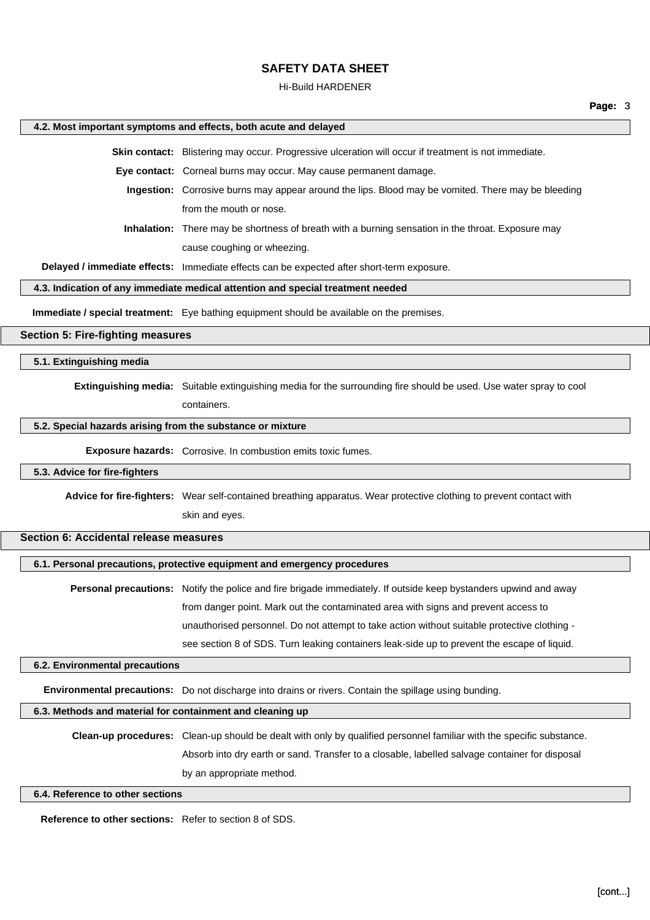#### Hi-Build HARDENER

#### **4.2. Most important symptoms and effects, both acute and delayed**

**Skin contact:** Blistering may occur. Progressive ulceration will occur if treatment is not immediate.

**Eye contact:** Corneal burns may occur. May cause permanent damage.

**Ingestion:** Corrosive burns may appear around the lips. Blood may be vomited. There may be bleeding from the mouth or nose.

**Inhalation:** There may be shortness of breath with a burning sensation in the throat. Exposure may cause coughing or wheezing.

**Delayed / immediate effects:** Immediate effects can be expected after short-term exposure.

#### **4.3. Indication of any immediate medical attention and special treatment needed**

**Immediate / special treatment:** Eye bathing equipment should be available on the premises.

### **Section 5: Fire-fighting measures**

**5.1. Extinguishing media**

**Extinguishing media:** Suitable extinguishing media for the surrounding fire should be used. Use water spray to cool containers.

#### **5.2. Special hazards arising from the substance or mixture**

**Exposure hazards:** Corrosive. In combustion emits toxic fumes.

### **5.3. Advice for fire-fighters**

**Advice for fire-fighters:** Wear self-contained breathing apparatus. Wear protective clothing to prevent contact with

skin and eyes.

### **Section 6: Accidental release measures**

### **6.1. Personal precautions, protective equipment and emergency procedures**

**Personal precautions:** Notify the police and fire brigade immediately. If outside keep bystanders upwind and away from danger point. Mark out the contaminated area with signs and prevent access to unauthorised personnel. Do not attempt to take action without suitable protective clothing see section 8 of SDS. Turn leaking containers leak-side up to prevent the escape of liquid.

#### **6.2. Environmental precautions**

**Environmental precautions:** Do not discharge into drains or rivers. Contain the spillage using bunding.

#### **6.3. Methods and material for containment and cleaning up**

**Clean-up procedures:** Clean-up should be dealt with only by qualified personnel familiar with the specific substance. Absorb into dry earth or sand. Transfer to a closable, labelled salvage container for disposal by an appropriate method.

### **6.4. Reference to other sections**

**Reference to other sections:** Refer to section 8 of SDS.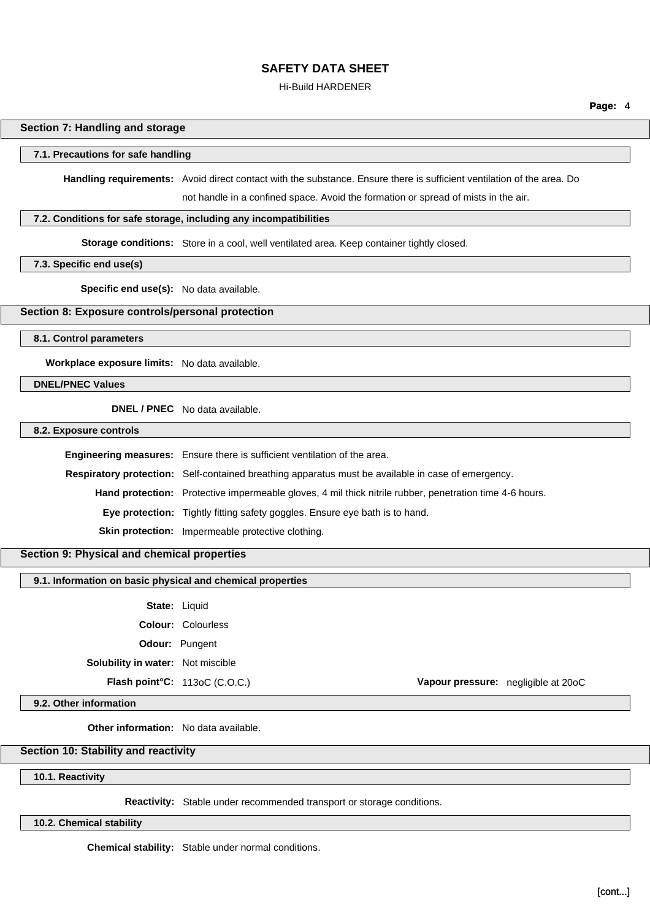#### Hi-Build HARDENER

### **Section 7: Handling and storage**

### **7.1. Precautions for safe handling**

**Handling requirements:** Avoid direct contact with the substance. Ensure there is sufficient ventilation of the area. Do not handle in a confined space. Avoid the formation or spread of mists in the air.

#### **7.2. Conditions for safe storage, including any incompatibilities**

**Storage conditions:** Store in a cool, well ventilated area. Keep container tightly closed.

### **7.3. Specific end use(s)**

**Specific end use(s):** No data available.

### **Section 8: Exposure controls/personal protection**

**8.1. Control parameters**

**Workplace exposure limits:** No data available.

**DNEL/PNEC Values**

**DNEL / PNEC** No data available.

### **8.2. Exposure controls**

**Engineering measures:** Ensure there is sufficient ventilation of the area. **Respiratory protection:** Self-contained breathing apparatus must be available in case of emergency. **Hand protection:** Protective impermeable gloves, 4 mil thick nitrile rubber, penetration time 4-6 hours. **Eye protection:** Tightly fitting safety goggles. Ensure eye bath is to hand. **Skin protection:** Impermeable protective clothing.

### **Section 9: Physical and chemical properties**

### **9.1. Information on basic physical and chemical properties**

**State:** Liquid

**Colour:** Colourless

**Odour:** Pungent

**Solubility in water:** Not miscible

#### **9.2. Other information**

**Other information:** No data available.

### **Section 10: Stability and reactivity**

**10.1. Reactivity**

**Reactivity:** Stable under recommended transport or storage conditions.

**10.2. Chemical stability**

**Chemical stability:** Stable under normal conditions.

**Flash point°C:** 113oC (C.O.C.) **Vapour pressure:** negligible at 20oC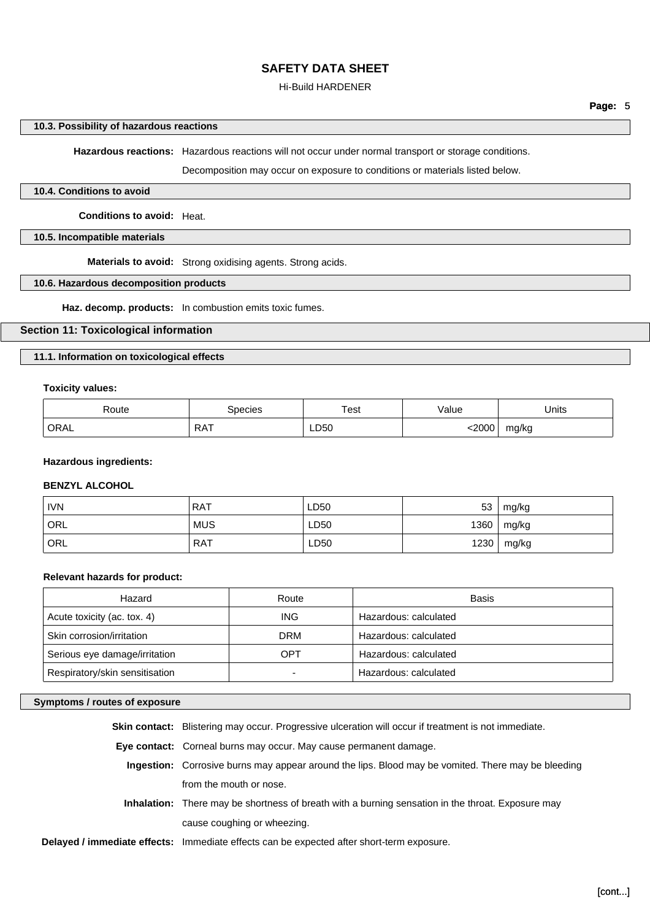### Hi-Build HARDENER

## **Page:** 5

### **10.3. Possibility of hazardous reactions**

**Hazardous reactions:** Hazardous reactions will not occur under normal transport or storage conditions.

Decomposition may occur on exposure to conditions or materials listed below.

### **10.4. Conditions to avoid**

**Conditions to avoid:** Heat.

### **10.5. Incompatible materials**

**Materials to avoid:** Strong oxidising agents. Strong acids.

### **10.6. Hazardous decomposition products**

**Haz. decomp. products:** In combustion emits toxic fumes.

### **Section 11: Toxicological information**

### **11.1. Information on toxicological effects**

### **Toxicity values:**

| Route<br>. | ipecies         | ēst  | alue'<br>. | Units |
|------------|-----------------|------|------------|-------|
| ORAL       | RA <sub>1</sub> | LD50 | 2000       | mg/kg |

### **Hazardous ingredients:**

### **BENZYL ALCOHOL**

| <b>IVN</b>       | <b>RAT</b> | LD50 | 53   | mg/kg |
|------------------|------------|------|------|-------|
| ' ORL            | <b>MUS</b> | LD50 | 1360 | mg/kg |
| ORL <sup>'</sup> | <b>RAT</b> | LD50 | 1230 | mg/kg |

### **Relevant hazards for product:**

| Hazard                         | Route | Basis                 |
|--------------------------------|-------|-----------------------|
| Acute toxicity (ac. tox. 4)    | ING.  | Hazardous: calculated |
| Skin corrosion/irritation      | DRM   | Hazardous: calculated |
| Serious eye damage/irritation  | OPT   | Hazardous: calculated |
| Respiratory/skin sensitisation |       | Hazardous: calculated |

### **Symptoms / routes of exposure**

| <b>Skin contact:</b> Blistering may occur. Progressive ulceration will occur if treatment is not immediate. |
|-------------------------------------------------------------------------------------------------------------|
| <b>Eye contact:</b> Corneal burns may occur. May cause permanent damage.                                    |
| Ingestion: Corrosive burns may appear around the lips. Blood may be vomited. There may be bleeding          |
| from the mouth or nose.                                                                                     |
| <b>Inhalation:</b> There may be shortness of breath with a burning sensation in the throat. Exposure may    |
| cause coughing or wheezing.                                                                                 |
| <b>Delayed / immediate effects:</b> Immediate effects can be expected after short-term exposure.            |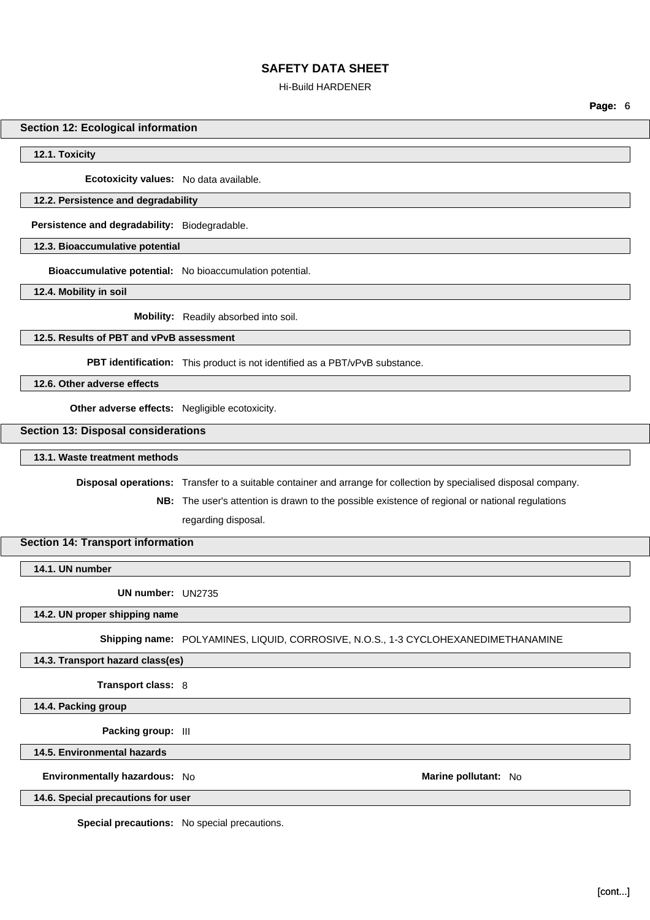### Hi-Build HARDENER

**Page:** 6

### **Section 12: Ecological information**

**12.1. Toxicity**

**Ecotoxicity values:** No data available.

### **12.2. Persistence and degradability**

**Persistence and degradability:** Biodegradable.

**12.3. Bioaccumulative potential**

**Bioaccumulative potential:** No bioaccumulation potential.

**12.4. Mobility in soil**

**Mobility:** Readily absorbed into soil.

### **12.5. Results of PBT and vPvB assessment**

**PBT identification:** This product is not identified as a PBT/vPvB substance.

**12.6. Other adverse effects**

**Other adverse effects:** Negligible ecotoxicity.

### **Section 13: Disposal considerations**

**13.1. Waste treatment methods**

**Disposal operations:** Transfer to a suitable container and arrange for collection by specialised disposal company.

**NB:** The user's attention is drawn to the possible existence of regional or national regulations regarding disposal.

### **Section 14: Transport information**

**14.1. UN number**

**UN number:** UN2735

### **14.2. UN proper shipping name**

**Shipping name:** POLYAMINES, LIQUID, CORROSIVE, N.O.S., 1-3 CYCLOHEXANEDIMETHANAMINE

### **14.3. Transport hazard class(es)**

**Transport class:** 8

**14.4. Packing group**

**Packing group:** III

### **14.5. Environmental hazards**

**Environmentally hazardous:** No **Marine pollutant:** No

**14.6. Special precautions for user**

**Special precautions:** No special precautions.